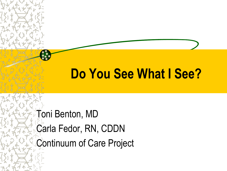# **Do You See What I See?**

Toni Benton, MD Carla Fedor, RN, CDDN Continuum of Care Project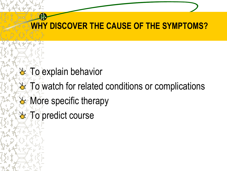#### **WHY DISCOVER THE CAUSE OF THE SYMPTOMS?**

- **& To explain behavior**
- To watch for related conditions or complications **A** More specific therapy
	- To predict course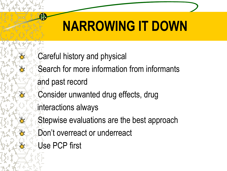# **NARROWING IT DOWN**

Careful history and physical

Search for more information from informants

and past record

Consider unwanted drug effects, drug

interactions always

Stepwise evaluations are the best approach

- Don't overreact or underreact
- Use PCP first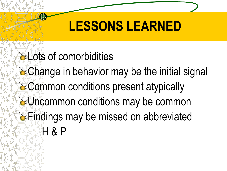## **LESSONS LEARNED**

- **Lots of comorbidities**
- & Change in behavior may be the initial signal
- **& Common conditions present atypically**
- **& Uncommon conditions may be common & Findings may be missed on abbreviated** H & P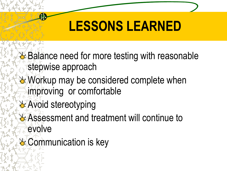# **LESSONS LEARNED**

**→ Balance need for more testing with reasonable** stepwise approach

- Workup may be considered complete when improving or comfortable
- **Avoid stereotyping**
- **LAssessment and treatment will continue to** evolve
- & Communication is key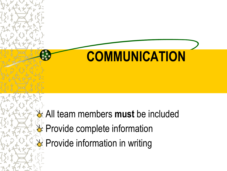

All team members **must** be included Provide complete information  $\rightarrow$  Provide information in writing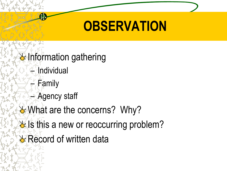# **OBSERVATION**

 $\rightarrow$  Information gathering **Individual** – Family – Agency staff **What are the concerns? Why?** Let Is this a new or reoccurring problem? **& Record of written data**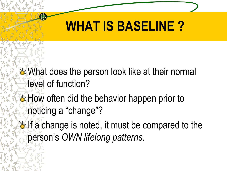## **WHAT IS BASELINE ?**

- What does the person look like at their normal level of function?
- **How often did the behavior happen prior to** noticing a "change"?
- $\mathbf{F}$  If a change is noted, it must be compared to the person's *OWN lifelong patterns.*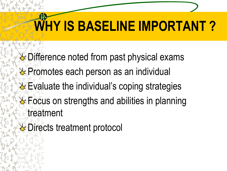# **WHY IS BASELINE IMPORTANT ?**

**& Difference noted from past physical exams & Promotes each person as an individual Evaluate the individual's coping strategies Execus on strengths and abilities in planning** treatment

**L** Directs treatment protocol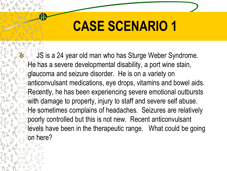JS is a 24 year old man who has Sturge Weber Syndrome. He has a severe developmental disability, a port wine stain, glaucoma and seizure disorder. He is on a variety on anticonvulsant medications, eye drops, vitamins and bowel aids. Recently, he has been experiencing severe emotional outbursts with damage to property, injury to staff and severe self abuse. He sometimes complains of headaches. Seizures are relatively poorly controlled but this is not new. Recent anticonvulsant levels have been in the therapeutic range. What could be going on here?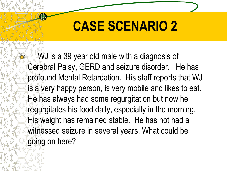WJ is a 39 year old male with a diagnosis of Cerebral Palsy, GERD and seizure disorder. He has profound Mental Retardation. His staff reports that WJ is a very happy person, is very mobile and likes to eat. He has always had some regurgitation but now he regurgitates his food daily, especially in the morning. His weight has remained stable. He has not had a witnessed seizure in several years. What could be going on here?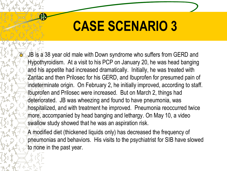JB is a 38 year old male with Down syndrome who suffers from GERD and Hypothyroidism. At a visit to his PCP on January 20, he was head banging and his appetite had increased dramatically. Initially, he was treated with Zantac and then Prilosec for his GERD, and Ibuprofen for presumed pain of indeterminate origin. On February 2, he initially improved, according to staff. Ibuprofen and Prilosec were increased. But on March 2, things had deteriorated. JB was wheezing and found to have pneumonia, was hospitalized, and with treatment he improved. Pneumonia reoccurred twice more, accompanied by head banging and lethargy. On May 10, a video swallow study showed that he was an aspiration risk.

A modified diet (thickened liquids only) has decreased the frequency of pneumonias and behaviors. His visits to the psychiatrist for SIB have slowed to none in the past year.